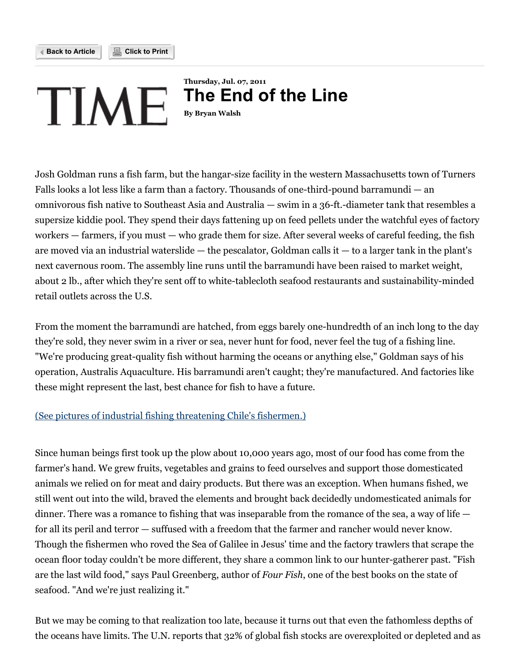

# **Thursday, Jul. 07, 2011** TIME **The End of the Line By Bryan Walsh**

Josh Goldman runs a fish farm, but the hangar-size facility in the western Massachusetts town of Turners Falls looks a lot less like a farm than a factory. Thousands of one-third-pound barramundi — an omnivorous fish native to Southeast Asia and Australia — swim in a 36-ft.-diameter tank that resembles a supersize kiddie pool. They spend their days fattening up on feed pellets under the watchful eyes of factory workers — farmers, if you must — who grade them for size. After several weeks of careful feeding, the fish are moved via an industrial waterslide — the pescalator, Goldman calls it — to a larger tank in the plant's next cavernous room. The assembly line runs until the barramundi have been raised to market weight, about 2 lb., after which they're sent off to white-tablecloth seafood restaurants and sustainability-minded retail outlets across the U.S.

From the moment the barramundi are hatched, from eggs barely one-hundredth of an inch long to the day they're sold, they never swim in a river or sea, never hunt for food, never feel the tug of a fishing line. "We're producing great-quality fish without harming the oceans or anything else," Goldman says of his operation, Australis Aquaculture. His barramundi aren't caught; they're manufactured. And factories like these might represent the last, best chance for fish to have a future.

# (See pictures of industrial fishing [threatening](http://www.time.com/time/photogallery/0,29307,2064539,00.html) Chile's fishermen.)

Since human beings first took up the plow about 10,000 years ago, most of our food has come from the farmer's hand. We grew fruits, vegetables and grains to feed ourselves and support those domesticated animals we relied on for meat and dairy products. But there was an exception. When humans fished, we still went out into the wild, braved the elements and brought back decidedly undomesticated animals for dinner. There was a romance to fishing that was inseparable from the romance of the sea, a way of life  $$ for all its peril and terror — suffused with a freedom that the farmer and rancher would never know. Though the fishermen who roved the Sea of Galilee in Jesus' time and the factory trawlers that scrape the ocean floor today couldn't be more different, they share a common link to our hunter-gatherer past. "Fish are the last wild food," says Paul Greenberg, author of *Four Fish*, one of the best books on the state of seafood. "And we're just realizing it."

But we may be coming to that realization too late, because it turns out that even the fathomless depths of the oceans have limits. The U.N. reports that 32% of global fish stocks are overexploited or depleted and as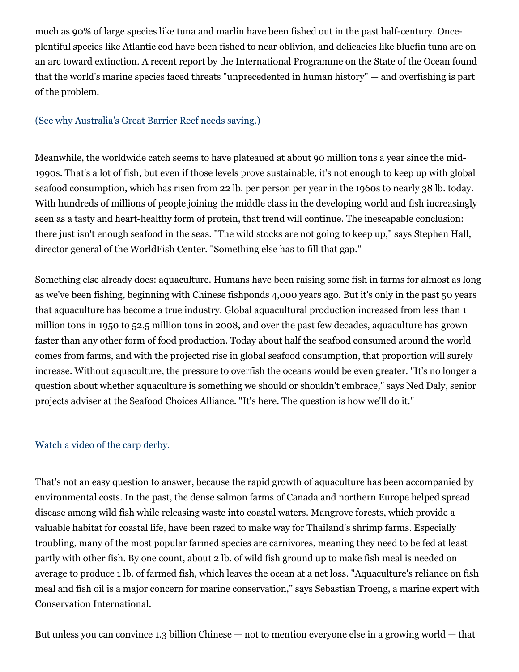much as 90% of large species like tuna and marlin have been fished out in the past half-century. Onceplentiful species like Atlantic cod have been fished to near oblivion, and delicacies like bluefin tuna are on an arc toward extinction. A recent report by the International Programme on the State of the Ocean found that the world's marine species faced threats "unprecedented in human history" — and overfishing is part of the problem.

#### (See why [Australia's](http://www.time.com/time/magazine/article/0,9171,2044585-2,00.html) Great Barrier Reef needs saving.)

Meanwhile, the worldwide catch seems to have plateaued at about 90 million tons a year since the mid-1990s. That's a lot of fish, but even if those levels prove sustainable, it's not enough to keep up with global seafood consumption, which has risen from 22 lb. per person per year in the 1960s to nearly 38 lb. today. With hundreds of millions of people joining the middle class in the developing world and fish increasingly seen as a tasty and heart-healthy form of protein, that trend will continue. The inescapable conclusion: there just isn't enough seafood in the seas. "The wild stocks are not going to keep up," says Stephen Hall, director general of the WorldFish Center. "Something else has to fill that gap."

Something else already does: aquaculture. Humans have been raising some fish in farms for almost as long as we've been fishing, beginning with Chinese fishponds 4,000 years ago. But it's only in the past 50 years that aquaculture has become a true industry. Global aquacultural production increased from less than 1 million tons in 1950 to 52.5 million tons in 2008, and over the past few decades, aquaculture has grown faster than any other form of food production. Today about half the seafood consumed around the world comes from farms, and with the projected rise in global seafood consumption, that proportion will surely increase. Without aquaculture, the pressure to overfish the oceans would be even greater. "It's no longer a question about whether aquaculture is something we should or shouldn't embrace," says Ned Daly, senior projects adviser at the Seafood Choices Alliance. "It's here. The question is how we'll do it."

### [Watch](http://www.time.com/time/video/player/0,32068,541363358001_2010246,00.html) a video of the carp derby.

That's not an easy question to answer, because the rapid growth of aquaculture has been accompanied by environmental costs. In the past, the dense salmon farms of Canada and northern Europe helped spread disease among wild fish while releasing waste into coastal waters. Mangrove forests, which provide a valuable habitat for coastal life, have been razed to make way for Thailand's shrimp farms. Especially troubling, many of the most popular farmed species are carnivores, meaning they need to be fed at least partly with other fish. By one count, about 2 lb. of wild fish ground up to make fish meal is needed on average to produce 1 lb. of farmed fish, which leaves the ocean at a net loss. "Aquaculture's reliance on fish meal and fish oil is a major concern for marine conservation," says Sebastian Troeng, a marine expert with Conservation International.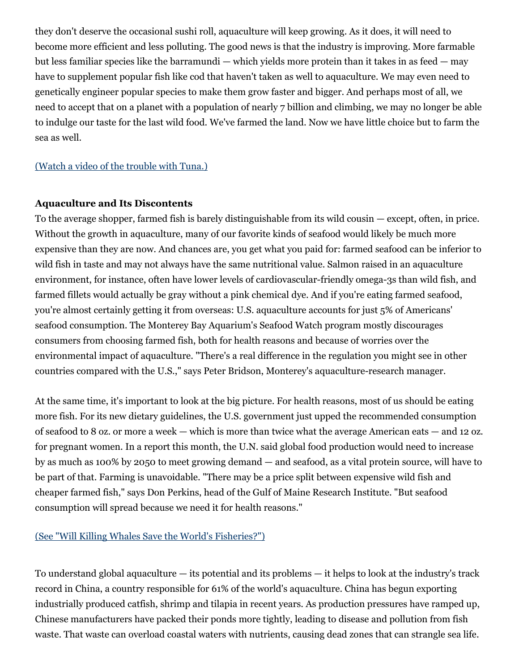they don't deserve the occasional sushi roll, aquaculture will keep growing. As it does, it will need to become more efficient and less polluting. The good news is that the industry is improving. More farmable but less familiar species like the barramundi — which yields more protein than it takes in as feed — may have to supplement popular fish like cod that haven't taken as well to aquaculture. We may even need to genetically engineer popular species to make them grow faster and bigger. And perhaps most of all, we need to accept that on a planet with a population of nearly 7 billion and climbing, we may no longer be able to indulge our taste for the last wild food. We've farmed the land. Now we have little choice but to farm the sea as well.

#### [\(Watch](http://www.time.com/time/video/player/0,32068,47596301001_1932240,00.html) a video of the trouble with Tuna.)

#### **Aquaculture and Its Discontents**

To the average shopper, farmed fish is barely distinguishable from its wild cousin — except, often, in price. Without the growth in aquaculture, many of our favorite kinds of seafood would likely be much more expensive than they are now. And chances are, you get what you paid for: farmed seafood can be inferior to wild fish in taste and may not always have the same nutritional value. Salmon raised in an aquaculture environment, for instance, often have lower levels of cardiovascular-friendly omega-3s than wild fish, and farmed fillets would actually be gray without a pink chemical dye. And if you're eating farmed seafood, you're almost certainly getting it from overseas: U.S. aquaculture accounts for just 5% of Americans' seafood consumption. The Monterey Bay Aquarium's Seafood Watch program mostly discourages consumers from choosing farmed fish, both for health reasons and because of worries over the environmental impact of aquaculture. "There's a real difference in the regulation you might see in other countries compared with the U.S.," says Peter Bridson, Monterey's aquaculture-research manager.

At the same time, it's important to look at the big picture. For health reasons, most of us should be eating more fish. For its new dietary guidelines, the U.S. government just upped the recommended consumption of seafood to 8 oz. or more a week — which is more than twice what the average American eats — and 12 oz. for pregnant women. In a report this month, the U.N. said global food production would need to increase by as much as 100% by 2050 to meet growing demand — and seafood, as a vital protein source, will have to be part of that. Farming is unavoidable. "There may be a price split between expensive wild fish and cheaper farmed fish," says Don Perkins, head of the Gulf of Maine Research Institute. "But seafood consumption will spread because we need it for health reasons."

### (See "Will Killing Whales Save the World's [Fisheries?"\)](http://www.time.com/time/health/article/0,8599,1880128,00.html)

To understand global aquaculture — its potential and its problems — it helps to look at the industry's track record in China, a country responsible for 61% of the world's aquaculture. China has begun exporting industrially produced catfish, shrimp and tilapia in recent years. As production pressures have ramped up, Chinese manufacturers have packed their ponds more tightly, leading to disease and pollution from fish waste. That waste can overload coastal waters with nutrients, causing dead zones that can strangle sea life.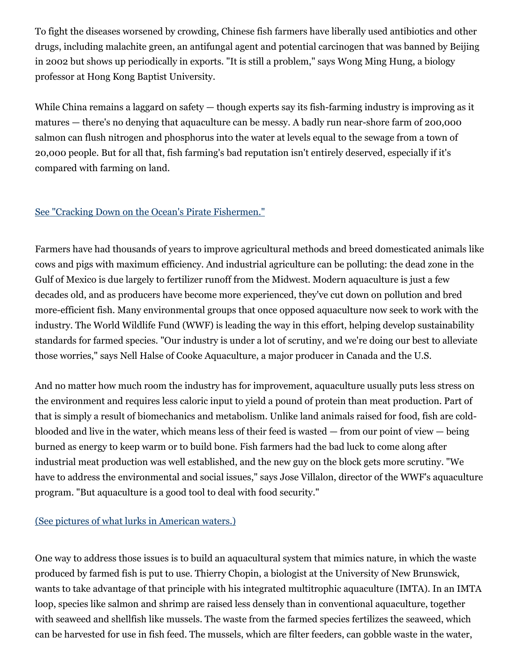To fight the diseases worsened by crowding, Chinese fish farmers have liberally used antibiotics and other drugs, including malachite green, an antifungal agent and potential carcinogen that was banned by Beijing in 2002 but shows up periodically in exports. "It is still a problem," says Wong Ming Hung, a biology professor at Hong Kong Baptist University.

While China remains a laggard on safety — though experts say its fish-farming industry is improving as it matures — there's no denying that aquaculture can be messy. A badly run near-shore farm of 200,000 salmon can flush nitrogen and phosphorus into the water at levels equal to the sewage from a town of 20,000 people. But for all that, fish farming's bad reputation isn't entirely deserved, especially if it's compared with farming on land.

# See "Cracking Down on the Ocean's Pirate [Fishermen."](http://www.time.com/time/health/article/0,8599,1991172,00.html)

Farmers have had thousands of years to improve agricultural methods and breed domesticated animals like cows and pigs with maximum efficiency. And industrial agriculture can be polluting: the dead zone in the Gulf of Mexico is due largely to fertilizer runoff from the Midwest. Modern aquaculture is just a few decades old, and as producers have become more experienced, they've cut down on pollution and bred more-efficient fish. Many environmental groups that once opposed aquaculture now seek to work with the industry. The World Wildlife Fund (WWF) is leading the way in this effort, helping develop sustainability standards for farmed species. "Our industry is under a lot of scrutiny, and we're doing our best to alleviate those worries," says Nell Halse of Cooke Aquaculture, a major producer in Canada and the U.S.

And no matter how much room the industry has for improvement, aquaculture usually puts less stress on the environment and requires less caloric input to yield a pound of protein than meat production. Part of that is simply a result of biomechanics and metabolism. Unlike land animals raised for food, fish are coldblooded and live in the water, which means less of their feed is wasted — from our point of view — being burned as energy to keep warm or to build bone. Fish farmers had the bad luck to come along after industrial meat production was well established, and the new guy on the block gets more scrutiny. "We have to address the environmental and social issues," says Jose Villalon, director of the WWF's aquaculture program. "But aquaculture is a good tool to deal with food security."

### (See pictures of what lurks in [American](http://www.time.com/time/photogallery/0,29307,1693557,00.html) waters.)

One way to address those issues is to build an aquacultural system that mimics nature, in which the waste produced by farmed fish is put to use. Thierry Chopin, a biologist at the University of New Brunswick, wants to take advantage of that principle with his integrated multitrophic aquaculture (IMTA). In an IMTA loop, species like salmon and shrimp are raised less densely than in conventional aquaculture, together with seaweed and shellfish like mussels. The waste from the farmed species fertilizes the seaweed, which can be harvested for use in fish feed. The mussels, which are filter feeders, can gobble waste in the water,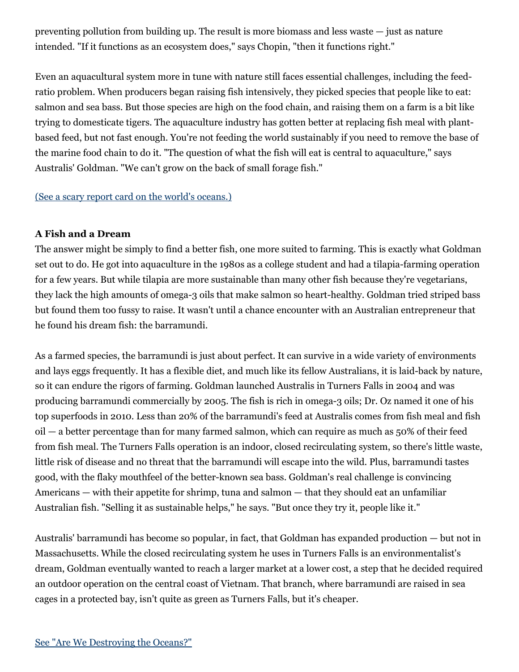preventing pollution from building up. The result is more biomass and less waste — just as nature intended. "If it functions as an ecosystem does," says Chopin, "then it functions right."

Even an aquacultural system more in tune with nature still faces essential challenges, including the feedratio problem. When producers began raising fish intensively, they picked species that people like to eat: salmon and sea bass. But those species are high on the food chain, and raising them on a farm is a bit like trying to domesticate tigers. The aquaculture industry has gotten better at replacing fish meal with plantbased feed, but not fast enough. You're not feeding the world sustainably if you need to remove the base of the marine food chain to do it. "The question of what the fish will eat is central to aquaculture," says Australis' Goldman. "We can't grow on the back of small forage fish."

### (See a scary report card on the world's [oceans.\)](http://www.time.com/time/health/article/0,8599,2078840,00.html)

### **A Fish and a Dream**

The answer might be simply to find a better fish, one more suited to farming. This is exactly what Goldman set out to do. He got into aquaculture in the 1980s as a college student and had a tilapia-farming operation for a few years. But while tilapia are more sustainable than many other fish because they're vegetarians, they lack the high amounts of omega-3 oils that make salmon so heart-healthy. Goldman tried striped bass but found them too fussy to raise. It wasn't until a chance encounter with an Australian entrepreneur that he found his dream fish: the barramundi.

As a farmed species, the barramundi is just about perfect. It can survive in a wide variety of environments and lays eggs frequently. It has a flexible diet, and much like its fellow Australians, it is laid-back by nature, so it can endure the rigors of farming. Goldman launched Australis in Turners Falls in 2004 and was producing barramundi commercially by 2005. The fish is rich in omega-3 oils; Dr. Oz named it one of his top superfoods in 2010. Less than 20% of the barramundi's feed at Australis comes from fish meal and fish oil — a better percentage than for many farmed salmon, which can require as much as 50% of their feed from fish meal. The Turners Falls operation is an indoor, closed recirculating system, so there's little waste, little risk of disease and no threat that the barramundi will escape into the wild. Plus, barramundi tastes good, with the flaky mouthfeel of the better-known sea bass. Goldman's real challenge is convincing Americans — with their appetite for shrimp, tuna and salmon — that they should eat an unfamiliar Australian fish. "Selling it as sustainable helps," he says. "But once they try it, people like it."

Australis' barramundi has become so popular, in fact, that Goldman has expanded production — but not in Massachusetts. While the closed recirculating system he uses in Turners Falls is an environmentalist's dream, Goldman eventually wanted to reach a larger market at a lower cost, a step that he decided required an outdoor operation on the central coast of Vietnam. That branch, where barramundi are raised in sea cages in a protected bay, isn't quite as green as Turners Falls, but it's cheaper.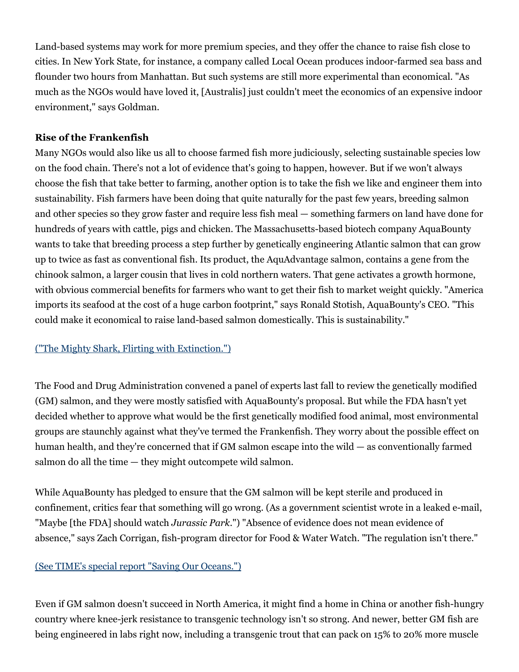Land-based systems may work for more premium species, and they offer the chance to raise fish close to cities. In New York State, for instance, a company called Local Ocean produces indoor-farmed sea bass and flounder two hours from Manhattan. But such systems are still more experimental than economical. "As much as the NGOs would have loved it, [Australis] just couldn't meet the economics of an expensive indoor environment," says Goldman.

### **Rise of the Frankenfish**

Many NGOs would also like us all to choose farmed fish more judiciously, selecting sustainable species low on the food chain. There's not a lot of evidence that's going to happen, however. But if we won't always choose the fish that take better to farming, another option is to take the fish we like and engineer them into sustainability. Fish farmers have been doing that quite naturally for the past few years, breeding salmon and other species so they grow faster and require less fish meal — something farmers on land have done for hundreds of years with cattle, pigs and chicken. The Massachusetts-based biotech company AquaBounty wants to take that breeding process a step further by genetically engineering Atlantic salmon that can grow up to twice as fast as conventional fish. Its product, the AquAdvantage salmon, contains a gene from the chinook salmon, a larger cousin that lives in cold northern waters. That gene activates a growth hormone, with obvious commercial benefits for farmers who want to get their fish to market weight quickly. "America imports its seafood at the cost of a huge carbon footprint," says Ronald Stotish, AquaBounty's CEO. "This could make it economical to raise land-based salmon domestically. This is sustainability."

# ("The Mighty Shark, Flirting with [Extinction."\)](http://www.time.com/time/health/article/0,8599,2081466,00.html)

The Food and Drug Administration convened a panel of experts last fall to review the genetically modified (GM) salmon, and they were mostly satisfied with AquaBounty's proposal. But while the FDA hasn't yet decided whether to approve what would be the first genetically modified food animal, most environmental groups are staunchly against what they've termed the Frankenfish. They worry about the possible effect on human health, and they're concerned that if GM salmon escape into the wild — as conventionally farmed salmon do all the time — they might outcompete wild salmon.

While AquaBounty has pledged to ensure that the GM salmon will be kept sterile and produced in confinement, critics fear that something will go wrong. (As a government scientist wrote in a leaked e-mail, "Maybe [the FDA] should watch *Jurassic Park*.") "Absence of evidence does not mean evidence of absence," says Zach Corrigan, fish-program director for Food & Water Watch. "The regulation isn't there."

# (See TIME's special report "Saving Our [Oceans."\)](http://www.time.com/time/specials/packages/0,28757,2020806,00.html)

Even if GM salmon doesn't succeed in North America, it might find a home in China or another fish-hungry country where knee-jerk resistance to transgenic technology isn't so strong. And newer, better GM fish are being engineered in labs right now, including a transgenic trout that can pack on 15% to 20% more muscle